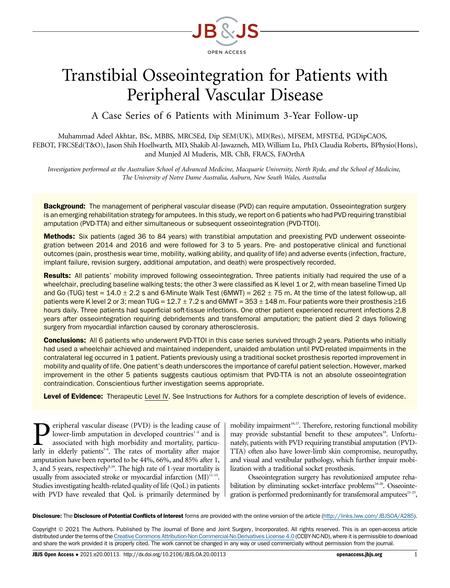

# Transtibial Osseointegration for Patients with Peripheral Vascular Disease

A Case Series of 6 Patients with Minimum 3-Year Follow-up

Muhammad Adeel Akhtar, BSc, MBBS, MRCSEd, Dip SEM(UK), MD(Res), MFSEM, MFSTEd, PGDipCAOS, FEBOT, FRCSEd(T&O), Jason Shih Hoellwarth, MD, Shakib Al-Jawazneh, MD, William Lu, PhD, Claudia Roberts, BPhysio(Hons), and Munjed Al Muderis, MB, ChB, FRACS, FAOrthA

Investigation performed at the Australian School of Advanced Medicine, Macquarie University, North Ryde, and the School of Medicine, The University of Notre Dame Australia, Auburn, New South Wales, Australia

Background: The management of peripheral vascular disease (PVD) can require amputation. Osseointegration surgery is an emerging rehabilitation strategy for amputees. In this study, we report on 6 patients who had PVD requiring transtibial amputation (PVD-TTA) and either simultaneous or subsequent osseointegration (PVD-TTOI).

Methods: Six patients (aged 36 to 84 years) with transtibial amputation and preexisting PVD underwent osseointegration between 2014 and 2016 and were followed for 3 to 5 years. Pre- and postoperative clinical and functional outcomes (pain, prosthesis wear time, mobility, walking ability, and quality of life) and adverse events (infection, fracture, implant failure, revision surgery, additional amputation, and death) were prospectively recorded.

Results: All patients' mobility improved following osseointegration. Three patients initially had required the use of a wheelchair, precluding baseline walking tests; the other 3 were classified as K level 1 or 2, with mean baseline Timed Up and Go (TUG) test =  $14.0 \pm 2.2$  s and 6-Minute Walk Test (6MWT) =  $262 \pm 75$  m. At the time of the latest follow-up, all patients were K level 2 or 3; mean TUG =  $12.7 \pm 7.2$  s and 6MWT =  $353 \pm 148$  m. Four patients wore their prosthesis  $\geq 16$ hours daily. Three patients had superficial soft-tissue infections. One other patient experienced recurrent infections 2.8 years after osseointegration requiring debridements and transfemoral amputation; the patient died 2 days following surgery from myocardial infarction caused by coronary atherosclerosis.

**Conclusions:** All 6 patients who underwent PVD-TTOI in this case series survived through 2 years. Patients who initially had used a wheelchair achieved and maintained independent, unaided ambulation until PVD-related impairments in the contralateral leg occurred in 1 patient. Patients previously using a traditional socket prosthesis reported improvement in mobility and quality of life. One patient's death underscores the importance of careful patient selection. However, marked improvement in the other 5 patients suggests cautious optimism that PVD-TTA is not an absolute osseointegration contraindication. Conscientious further investigation seems appropriate.

Level of Evidence: Therapeutic Level IV. See Instructions for Authors for a complete description of levels of evidence.

eripheral vascular disease (PVD) is the leading cause of lower-limb amputation in developed countries<sup>1-4</sup> and is associated with high morbidity and mortality, particularly in elderly patients<sup>5-8</sup>. The rates of mortality after major amputation have been reported to be 44%, 66%, and 85% after 1, 3, and 5 years, respectively<sup>9,10</sup>. The high rate of 1-year mortality is usually from associated stroke or myocardial infarction  $(MI)^{11-15}$ . Studies investigating health-related quality of life (QoL) in patients with PVD have revealed that QoL is primarily determined by mobility impairment<sup>16,17</sup>. Therefore, restoring functional mobility may provide substantial benefit to these amputees<sup>18</sup>. Unfortunately, patients with PVD requiring transtibial amputation (PVD-TTA) often also have lower-limb skin compromise, neuropathy, and visual and vestibular pathology, which further impair mobilization with a traditional socket prosthesis.

Osseointegration surgery has revolutionized amputee rehabilitation by eliminating socket-interface problems<sup>18-20</sup>. Osseointegration is performed predominantly for transfemoral amputees $21-25$ ,

Disclosure: The Disclosure of Potential Conflicts of Interest forms are provided with the online version of the article [\(http://links.lww.com/JBJSOA/A285\)](http://links.lww.com/JBJSOA/A285).

Copyright 2021 The Authors. Published by The Journal of Bone and Joint Surgery, Incorporated. All rights reserved. This is an open-access article distributed under the terms of the [Creative Commons Attribution-Non Commercial-No Derivatives License 4.0](http://creativecommons.org/licenses/by-nc-nd/4.0/) (CCBY-NC-ND), where it is permissible to download and share the work provided it is properly cited. The work cannot be changed in any way or used commercially without permission from the journal.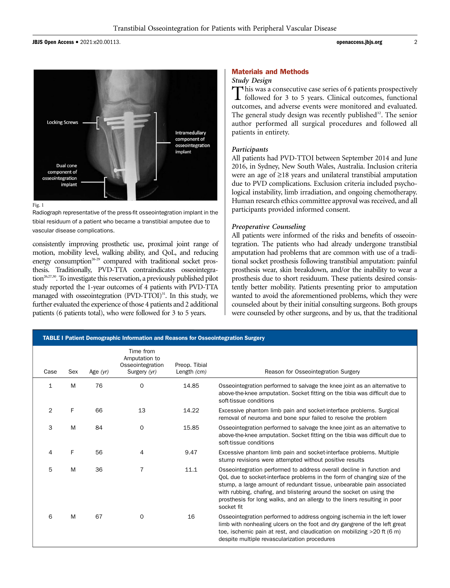JBJS Open Access • 2021:e20.00113. 2



#### Fig. 1

Radiograph representative of the press-fit osseointegration implant in the tibial residuum of a patient who became a transtibial amputee due to vascular disease complications.

consistently improving prosthetic use, proximal joint range of motion, mobility level, walking ability, and QoL, and reducing energy consumption<sup>26-29</sup> compared with traditional socket prosthesis. Traditionally, PVD-TTA contraindicates osseointegration<sup>26,27,30</sup>. To investigate this reservation, a previously published pilot study reported the 1-year outcomes of 4 patients with PVD-TTA managed with osseointegration  $(PVD-TTOI)^{31}$ . In this study, we further evaluated the experience of those 4 patients and 2 additional patients (6 patients total), who were followed for 3 to 5 years.

#### Materials and Methods

## Study Design

This was a consecutive case series of 6 patients prospectively followed for 3 to 5 years. Clinical outcomes, functional outcomes, and adverse events were monitored and evaluated. The general study design was recently published<sup>32</sup>. The senior author performed all surgical procedures and followed all patients in entirety.

#### Participants

All patients had PVD-TTOI between September 2014 and June 2016, in Sydney, New South Wales, Australia. Inclusion criteria were an age of  $\geq$ 18 years and unilateral transtibial amputation due to PVD complications. Exclusion criteria included psychological instability, limb irradiation, and ongoing chemotherapy. Human research ethics committee approval was received, and all participants provided informed consent.

#### Preoperative Counseling

All patients were informed of the risks and benefits of osseointegration. The patients who had already undergone transtibial amputation had problems that are common with use of a traditional socket prosthesis following transtibial amputation: painful prosthesis wear, skin breakdown, and/or the inability to wear a prosthesis due to short residuum. These patients desired consistently better mobility. Patients presenting prior to amputation wanted to avoid the aforementioned problems, which they were counseled about by their initial consulting surgeons. Both groups were counseled by other surgeons, and by us, that the traditional

| <b>TABLE I Patient Demographic Information and Reasons for Osseointegration Surgery</b> |     |            |                                                                |                                |                                                                                                                                                                                                                                                                                                                                                                                               |  |
|-----------------------------------------------------------------------------------------|-----|------------|----------------------------------------------------------------|--------------------------------|-----------------------------------------------------------------------------------------------------------------------------------------------------------------------------------------------------------------------------------------------------------------------------------------------------------------------------------------------------------------------------------------------|--|
| Case                                                                                    | Sex | Age $(yr)$ | Time from<br>Amputation to<br>Osseointegration<br>Surgery (yr) | Preop. Tibial<br>Length $(cm)$ | Reason for Osseointegration Surgery                                                                                                                                                                                                                                                                                                                                                           |  |
| 1                                                                                       | M   | 76         | $\mathbf 0$                                                    | 14.85                          | Osseointegration performed to salvage the knee joint as an alternative to<br>above-the-knee amputation. Socket fitting on the tibia was difficult due to<br>soft-tissue conditions                                                                                                                                                                                                            |  |
| 2                                                                                       | F.  | 66         | 13                                                             | 14.22                          | Excessive phantom limb pain and socket-interface problems. Surgical<br>removal of neuroma and bone spur failed to resolve the problem                                                                                                                                                                                                                                                         |  |
| 3                                                                                       | M   | 84         | $\mathbf 0$                                                    | 15.85                          | Osseointegration performed to salvage the knee joint as an alternative to<br>above-the-knee amputation. Socket fitting on the tibia was difficult due to<br>soft-tissue conditions                                                                                                                                                                                                            |  |
| 4                                                                                       | F   | 56         | 4                                                              | 9.47                           | Excessive phantom limb pain and socket-interface problems. Multiple<br>stump revisions were attempted without positive results                                                                                                                                                                                                                                                                |  |
| 5                                                                                       | M   | 36         | $\overline{7}$                                                 | 11.1                           | Osseointegration performed to address overall decline in function and<br>OoL due to socket-interface problems in the form of changing size of the<br>stump, a large amount of redundant tissue, unbearable pain associated<br>with rubbing, chafing, and blistering around the socket on using the<br>prosthesis for long walks, and an allergy to the liners resulting in poor<br>socket fit |  |
| 6                                                                                       | M   | 67         | $\mathbf 0$                                                    | 16                             | Osseointegration performed to address ongoing ischemia in the left lower<br>limb with nonhealing ulcers on the foot and dry gangrene of the left great<br>toe, ischemic pain at rest, and claudication on mobilizing >20 ft (6 m)<br>despite multiple revascularization procedures                                                                                                            |  |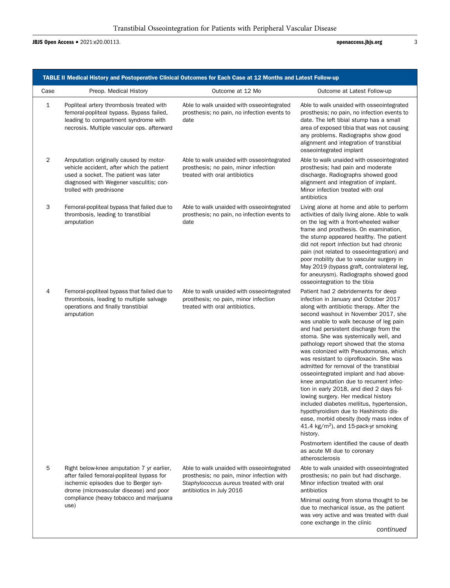# JBJS Open Access • 2021:e20.00113. **and 2021:e20.00113**

| TABLE II Medical History and Postoperative Clinical Outcomes for Each Case at 12 Months and Latest Follow-up |                                                                                                                                                                                                                             |                                                                                                                                                               |                                                                                                                                                                                                                                                                                                                                                                                                                                                                                                                                                                                                                                                                                                                                                                                                                                                                                                                                              |  |  |  |  |
|--------------------------------------------------------------------------------------------------------------|-----------------------------------------------------------------------------------------------------------------------------------------------------------------------------------------------------------------------------|---------------------------------------------------------------------------------------------------------------------------------------------------------------|----------------------------------------------------------------------------------------------------------------------------------------------------------------------------------------------------------------------------------------------------------------------------------------------------------------------------------------------------------------------------------------------------------------------------------------------------------------------------------------------------------------------------------------------------------------------------------------------------------------------------------------------------------------------------------------------------------------------------------------------------------------------------------------------------------------------------------------------------------------------------------------------------------------------------------------------|--|--|--|--|
| Case                                                                                                         | Preop. Medical History                                                                                                                                                                                                      | Outcome at 12 Mo                                                                                                                                              | Outcome at Latest Follow-up                                                                                                                                                                                                                                                                                                                                                                                                                                                                                                                                                                                                                                                                                                                                                                                                                                                                                                                  |  |  |  |  |
| 1                                                                                                            | Popliteal artery thrombosis treated with<br>femoral-popliteal bypass. Bypass failed,<br>leading to compartment syndrome with<br>necrosis. Multiple vascular ops. afterward                                                  | Able to walk unaided with osseointegrated<br>prosthesis; no pain, no infection events to<br>date                                                              | Able to walk unaided with osseointegrated<br>prosthesis; no pain, no infection events to<br>date. The left tibial stump has a small<br>area of exposed tibia that was not causing<br>any problems. Radiographs show good<br>alignment and integration of transtibial<br>osseointegrated implant                                                                                                                                                                                                                                                                                                                                                                                                                                                                                                                                                                                                                                              |  |  |  |  |
| 2                                                                                                            | Amputation originally caused by motor-<br>vehicle accident, after which the patient<br>used a socket. The patient was later<br>diagnosed with Wegener vasculitis; con-<br>trolled with prednisone                           | Able to walk unaided with osseointegrated<br>prosthesis; no pain, minor infection<br>treated with oral antibiotics                                            | Able to walk unaided with osseointegrated<br>prosthesis; had pain and moderate<br>discharge. Radiographs showed good<br>alignment and integration of implant.<br>Minor infection treated with oral<br>antibiotics                                                                                                                                                                                                                                                                                                                                                                                                                                                                                                                                                                                                                                                                                                                            |  |  |  |  |
| 3                                                                                                            | Femoral-popliteal bypass that failed due to<br>thrombosis, leading to transtibial<br>amputation                                                                                                                             | Able to walk unaided with osseointegrated<br>prosthesis; no pain, no infection events to<br>date                                                              | Living alone at home and able to perform<br>activities of daily living alone. Able to walk<br>on the leg with a front-wheeled walker<br>frame and prosthesis. On examination,<br>the stump appeared healthy. The patient<br>did not report infection but had chronic<br>pain (not related to osseointegration) and<br>poor mobility due to vascular surgery in<br>May 2019 (bypass graft, contralateral leg,<br>for aneurysm). Radiographs showed good<br>osseointegration to the tibia                                                                                                                                                                                                                                                                                                                                                                                                                                                      |  |  |  |  |
| 4                                                                                                            | Femoral-popliteal bypass that failed due to<br>thrombosis, leading to multiple salvage<br>operations and finally transtibial<br>amputation                                                                                  | Able to walk unaided with osseointegrated<br>prosthesis; no pain, minor infection<br>treated with oral antibiotics.                                           | Patient had 2 debridements for deep<br>infection in January and October 2017<br>along with antibiotic therapy. After the<br>second washout in November 2017, she<br>was unable to walk because of leg pain<br>and had persistent discharge from the<br>stoma. She was systemically well, and<br>pathology report showed that the stoma<br>was colonized with Pseudomonas, which<br>was resistant to ciprofloxacin. She was<br>admitted for removal of the transtibial<br>osseointegrated implant and had above-<br>knee amputation due to recurrent infec-<br>tion in early 2018, and died 2 days fol-<br>lowing surgery. Her medical history<br>included diabetes mellitus, hypertension,<br>hypothyroidism due to Hashimoto dis-<br>ease, morbid obesity (body mass index of<br>41.4 kg/m <sup>2</sup> ), and 15-pack-yr smoking<br>history.<br>Postmortem identified the cause of death<br>as acute MI due to coronary<br>atherosclerosis |  |  |  |  |
| 5                                                                                                            | Right below-knee amputation 7 yr earlier,<br>after failed femoral-popliteal bypass for<br>ischemic episodes due to Berger syn-<br>drome (microvascular disease) and poor<br>compliance (heavy tobacco and marijuana<br>use) | Able to walk unaided with osseointegrated<br>prosthesis; no pain, minor infection with<br>Staphylococcus aureus treated with oral<br>antibiotics in July 2016 | Able to walk unaided with osseointegrated<br>prosthesis; no pain but had discharge.<br>Minor infection treated with oral<br>antibiotics<br>Minimal oozing from stoma thought to be<br>due to mechanical issue, as the patient<br>was very active and was treated with dual<br>cone exchange in the clinic<br>continued                                                                                                                                                                                                                                                                                                                                                                                                                                                                                                                                                                                                                       |  |  |  |  |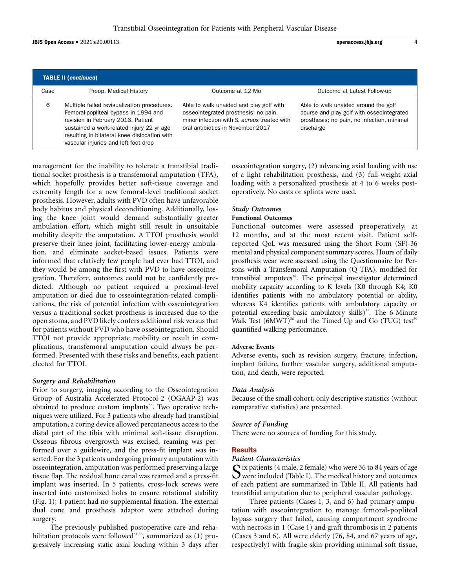JBJS Open Access  $\bullet$  2021:e20.00113.  $\bullet$  4

| <b>TABLE II (continued)</b> |                                                                                                                                                                                                                                                                |                                                                                                                                                                     |                                                                                                                                              |  |  |  |
|-----------------------------|----------------------------------------------------------------------------------------------------------------------------------------------------------------------------------------------------------------------------------------------------------------|---------------------------------------------------------------------------------------------------------------------------------------------------------------------|----------------------------------------------------------------------------------------------------------------------------------------------|--|--|--|
| Case                        | Preop. Medical History                                                                                                                                                                                                                                         | Outcome at 12 Mo                                                                                                                                                    | Outcome at Latest Follow-up                                                                                                                  |  |  |  |
| 6                           | Multiple failed revisualization procedures.<br>Femoral-popliteal bypass in 1994 and<br>revision in February 2016. Patient<br>sustained a work-related injury 22 yr ago<br>resulting in bilateral knee dislocation with<br>vascular injuries and left foot drop | Able to walk unaided and play golf with<br>osseointegrated prosthesis; no pain,<br>minor infection with S. aureus treated with<br>oral antibiotics in November 2017 | Able to walk unaided around the golf<br>course and play golf with osseointegrated<br>prosthesis; no pain, no infection, minimal<br>discharge |  |  |  |

management for the inability to tolerate a transtibial traditional socket prosthesis is a transfemoral amputation (TFA), which hopefully provides better soft-tissue coverage and extremity length for a new femoral-level traditional socket prosthesis. However, adults with PVD often have unfavorable body habitus and physical deconditioning. Additionally, losing the knee joint would demand substantially greater ambulation effort, which might still result in unsuitable mobility despite the amputation. A TTOI prosthesis would preserve their knee joint, facilitating lower-energy ambulation, and eliminate socket-based issues. Patients were informed that relatively few people had ever had TTOI, and they would be among the first with PVD to have osseointegration. Therefore, outcomes could not be confidently predicted. Although no patient required a proximal-level amputation or died due to osseointegration-related complications, the risk of potential infection with osseointegration versus a traditional socket prosthesis is increased due to the open stoma, and PVD likely confers additional risk versus that for patients without PVD who have osseointegration. Should TTOI not provide appropriate mobility or result in complications, transfemoral amputation could always be performed. Presented with these risks and benefits, each patient elected for TTOI.

## Surgery and Rehabilitation

Prior to surgery, imaging according to the Osseointegration Group of Australia Accelerated Protocol-2 (OGAAP-2) was obtained to produce custom implants<sup>33</sup>. Two operative techniques were utilized. For 3 patients who already had transtibial amputation, a coring device allowed percutaneous access to the distal part of the tibia with minimal soft-tissue disruption. Osseous fibrous overgrowth was excised, reaming was performed over a guidewire, and the press-fit implant was inserted. For the 3 patients undergoing primary amputation with osseointegration, amputation was performed preserving a large tissue flap. The residual bone canal was reamed and a press-fit implant was inserted. In 5 patients, cross-lock screws were inserted into customized holes to ensure rotational stability (Fig. 1); 1 patient had no supplemental fixation. The external dual cone and prosthesis adaptor were attached during surgery.

The previously published postoperative care and rehabilitation protocols were followed<sup>34,35</sup>, summarized as (1) progressively increasing static axial loading within 3 days after osseointegration surgery, (2) advancing axial loading with use of a light rehabilitation prosthesis, and (3) full-weight axial loading with a personalized prosthesis at 4 to 6 weeks postoperatively. No casts or splints were used.

## Study Outcomes

## Functional Outcomes

Functional outcomes were assessed preoperatively, at 12 months, and at the most recent visit. Patient selfreported QoL was measured using the Short Form (SF)-36 mental and physical component summary scores. Hours of daily prosthesis wear were assessed using the Questionnaire for Persons with a Transfemoral Amputation (Q-TFA), modified for transtibial amputees<sup>36</sup>. The principal investigator determined mobility capacity according to K levels (K0 through K4; K0 identifies patients with no ambulatory potential or ability, whereas K4 identifies patients with ambulatory capacity or potential exceeding basic ambulatory skills)<sup>37</sup>. The 6-Minute Walk Test  $(6MWT)^{38}$  and the Timed Up and Go (TUG) test<sup>39</sup> quantified walking performance.

## Adverse Events

Adverse events, such as revision surgery, fracture, infection, implant failure, further vascular surgery, additional amputation, and death, were reported.

## Data Analysis

Because of the small cohort, only descriptive statistics (without comparative statistics) are presented.

## Source of Funding

There were no sources of funding for this study.

## Results

#### Patient Characteristics

 $\bf{C}$  ix patients (4 male, 2 female) who were 36 to 84 years of age  $\sum$  were included (Table I). The medical history and outcomes of each patient are summarized in Table II. All patients had transtibial amputation due to peripheral vascular pathology.

Three patients (Cases 1, 3, and 6) had primary amputation with osseointegration to manage femoral-popliteal bypass surgery that failed, causing compartment syndrome with necrosis in 1 (Case 1) and graft thrombosis in 2 patients (Cases 3 and 6). All were elderly (76, 84, and 67 years of age, respectively) with fragile skin providing minimal soft tissue,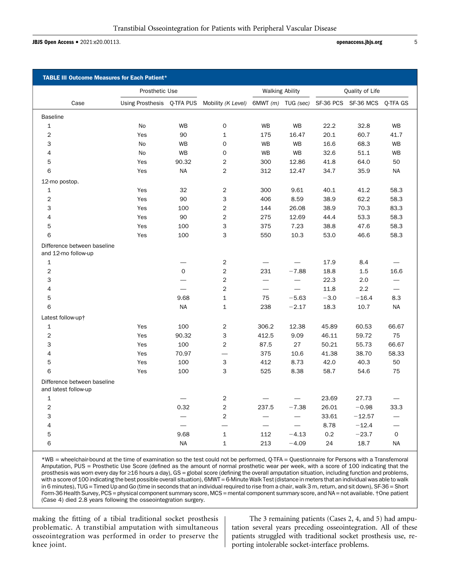JBJS Open Access • 2021:e20.00113. **b** 5 and 5 and 5 and 5 and 5 and 5 and 5 and 5 and 5 and 5 and 5 and 5 and 5 and 5 and 5 and 5 and 5 and 5 and 5 and 5 and 5 and 5 and 5 and 5 and 5 and 5 and 5 and 5 and 5 and 5 and 5 a

| <b>TABLE III Outcome Measures for Each Patient*</b> |                |              |                                               |                          |                          |                 |                                                 |                          |
|-----------------------------------------------------|----------------|--------------|-----------------------------------------------|--------------------------|--------------------------|-----------------|-------------------------------------------------|--------------------------|
|                                                     | Prosthetic Use |              |                                               | <b>Walking Ability</b>   |                          | Quality of Life |                                                 |                          |
| Case                                                |                |              | Using Prosthesis Q-TFA PUS Mobility (K Level) |                          |                          |                 | 6MWT (m) TUG (sec) SF-36 PCS SF-36 MCS Q-TFA GS |                          |
| <b>Baseline</b>                                     |                |              |                                               |                          |                          |                 |                                                 |                          |
| $\mathbf{1}$                                        | No             | <b>WB</b>    | 0                                             | <b>WB</b>                | <b>WB</b>                | 22.2            | 32.8                                            | <b>WB</b>                |
| $\overline{2}$                                      | Yes            | 90           | $\mathbf 1$                                   | 175                      | 16.47                    | 20.1            | 60.7                                            | 41.7                     |
| 3                                                   | <b>No</b>      | <b>WB</b>    | 0                                             | <b>WB</b>                | <b>WB</b>                | 16.6            | 68.3                                            | <b>WB</b>                |
| $\overline{4}$                                      | <b>No</b>      | <b>WB</b>    | 0                                             | <b>WB</b>                | <b>WB</b>                | 32.6            | 51.1                                            | <b>WB</b>                |
| 5                                                   | Yes            | 90.32        | $\overline{c}$                                | 300                      | 12.86                    | 41.8            | 64.0                                            | 50                       |
| 6                                                   | Yes            | <b>NA</b>    | $\overline{2}$                                | 312                      | 12.47                    | 34.7            | 35.9                                            | <b>NA</b>                |
| 12-mo postop.                                       |                |              |                                               |                          |                          |                 |                                                 |                          |
| 1                                                   | Yes            | 32           | $\overline{2}$                                | 300                      | 9.61                     | 40.1            | 41.2                                            | 58.3                     |
| 2                                                   | Yes            | 90           | 3                                             | 406                      | 8.59                     | 38.9            | 62.2                                            | 58.3                     |
| 3                                                   | Yes            | 100          | $\overline{2}$                                | 144                      | 26.08                    | 38.9            | 70.3                                            | 83.3                     |
| 4                                                   | Yes            | 90           | $\overline{c}$                                | 275                      | 12.69                    | 44.4            | 53.3                                            | 58.3                     |
| 5                                                   | Yes            | 100          | 3                                             | 375                      | 7.23                     | 38.8            | 47.6                                            | 58.3                     |
| 6                                                   | Yes            | 100          | 3                                             | 550                      | 10.3                     | 53.0            | 46.6                                            | 58.3                     |
| Difference between baseline<br>and 12-mo follow-up  |                |              |                                               |                          |                          |                 |                                                 |                          |
| $\mathbf{1}$                                        |                |              | $\overline{2}$                                | $\overline{\phantom{0}}$ |                          | 17.9            | 8.4                                             |                          |
| 2                                                   |                | $\mathbf{O}$ | $\overline{2}$                                | 231                      | $-7.88$                  | 18.8            | 1.5                                             | 16.6                     |
| 3                                                   |                |              | $\overline{2}$                                |                          | $\overline{\phantom{0}}$ | 22.3            | 2.0                                             |                          |
| 4                                                   |                |              | $\overline{2}$                                | $\overline{\phantom{0}}$ |                          | 11.8            | 2.2                                             | $\overline{\phantom{0}}$ |
| 5                                                   |                | 9.68         | $\mathbf{1}$                                  | 75                       | $-5.63$                  | $-3.0$          | $-16.4$                                         | 8.3                      |
| 6                                                   |                | <b>NA</b>    | $\mathbf{1}$                                  | 238                      | $-2.17$                  | 18.3            | 10.7                                            | <b>NA</b>                |
| Latest follow-up+                                   |                |              |                                               |                          |                          |                 |                                                 |                          |
| 1                                                   | Yes            | 100          | 2                                             | 306.2                    | 12.38                    | 45.89           | 60.53                                           | 66.67                    |
| $\overline{2}$                                      | Yes            | 90.32        | 3                                             | 412.5                    | 9.09                     | 46.11           | 59.72                                           | 75                       |
| 3                                                   | Yes            | 100          | $\overline{c}$                                | 87.5                     | 27                       | 50.21           | 55.73                                           | 66.67                    |
| $\overline{4}$                                      | Yes            | 70.97        |                                               | 375                      | 10.6                     | 41.38           | 38.70                                           | 58.33                    |
| 5                                                   | Yes            | 100          | 3                                             | 412                      | 8.73                     | 42.0            | 40.3                                            | 50                       |
| 6                                                   | Yes            | 100          | 3                                             | 525                      | 8.38                     | 58.7            | 54.6                                            | 75                       |
| Difference between baseline<br>and latest follow-up |                |              |                                               |                          |                          |                 |                                                 |                          |
| $\mathbf 1$                                         |                |              | $\overline{\mathbf{c}}$                       |                          |                          | 23.69           | 27.73                                           |                          |
| $\overline{2}$                                      |                | 0.32         | $\overline{2}$                                | 237.5                    | $-7.38$                  | 26.01           | $-0.98$                                         | 33.3                     |
| 3                                                   |                |              | $\overline{2}$                                | $\equiv$                 |                          | 33.61           | $-12.57$                                        | $\overline{\phantom{0}}$ |
| 4                                                   |                |              |                                               |                          |                          | 8.78            | $-12.4$                                         |                          |
| 5                                                   |                | 9.68         | $\mathbf 1$                                   | 112                      | $-4.13$                  | 0.2             | $-23.7$                                         | $\mathbf 0$              |
| 6                                                   |                | NA           | $\mathbf{1}$                                  | 213                      | $-4.09$                  | 24              | 18.7                                            | <b>NA</b>                |

\*WB = wheelchair-bound at the time of examination so the test could not be performed, Q-TFA = Questionnaire for Persons with a Transfemoral Amputation, PUS = Prosthetic Use Score (defined as the amount of normal prosthetic wear per week, with a score of 100 indicating that the prosthesis was worn every day for ≥16 hours a day), GS = global score (defining the overall amputation situation, including function and problems, with a score of 100 indicating the best possible overall situation), 6MWT = 6-Minute Walk Test (distance in meters that an individual was able to walk in 6 minutes), TUG = Timed Up and Go (time in seconds that an individual required to rise from a chair, walk 3 m, return, and sit down), SF-36 = Short Form-36 Health Survey, PCS = physical component summary score, MCS = mental component summary score, and NA = not available. †One patient (Case 4) died 2.8 years following the osseointegration surgery.

making the fitting of a tibial traditional socket prosthesis problematic. A transtibial amputation with simultaneous osseointegration was performed in order to preserve the knee joint.

The 3 remaining patients (Cases 2, 4, and 5) had amputation several years preceding osseointegration. All of these patients struggled with traditional socket prosthesis use, reporting intolerable socket-interface problems.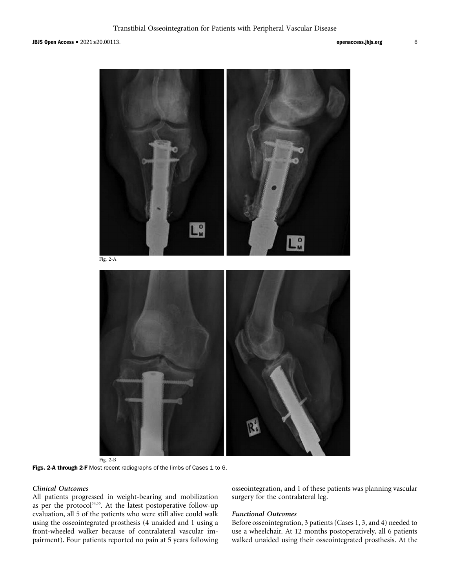JBJS Open Access <sup>d</sup> 2021:e20.00113. openaccess.jbjs.org <sup>6</sup>



Fig. 2-B

Figs. 2-A through 2-F Most recent radiographs of the limbs of Cases 1 to 6.

## Clinical Outcomes

All patients progressed in weight-bearing and mobilization as per the protocol<sup>34,35</sup>. At the latest postoperative follow-up evaluation, all 5 of the patients who were still alive could walk using the osseointegrated prosthesis (4 unaided and 1 using a front-wheeled walker because of contralateral vascular impairment). Four patients reported no pain at 5 years following osseointegration, and 1 of these patients was planning vascular surgery for the contralateral leg.

#### Functional Outcomes

Before osseointegration, 3 patients (Cases 1, 3, and 4) needed to use a wheelchair. At 12 months postoperatively, all 6 patients walked unaided using their osseointegrated prosthesis. At the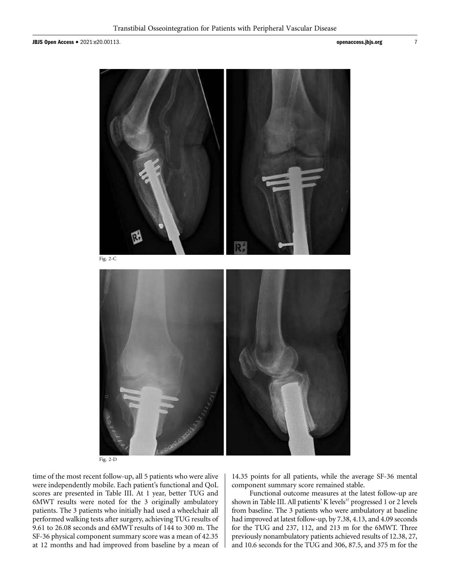

Fig. 2-D

time of the most recent follow-up, all 5 patients who were alive were independently mobile. Each patient's functional and QoL scores are presented in Table III. At 1 year, better TUG and 6MWT results were noted for the 3 originally ambulatory patients. The 3 patients who initially had used a wheelchair all performed walking tests after surgery, achieving TUG results of 9.61 to 26.08 seconds and 6MWT results of 144 to 300 m. The SF-36 physical component summary score was a mean of 42.35 at 12 months and had improved from baseline by a mean of 14.35 points for all patients, while the average SF-36 mental component summary score remained stable.

Functional outcome measures at the latest follow-up are shown in Table III. All patients' K levels<sup>37</sup> progressed 1 or 2 levels from baseline. The 3 patients who were ambulatory at baseline had improved at latest follow-up, by 7.38, 4.13, and 4.09 seconds for the TUG and 237, 112, and 213 m for the 6MWT. Three previously nonambulatory patients achieved results of 12.38, 27, and 10.6 seconds for the TUG and 306, 87.5, and 375 m for the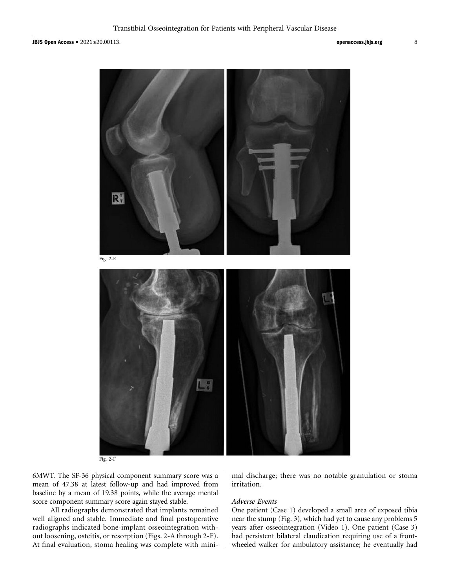

Fig. 2-F

6MWT. The SF-36 physical component summary score was a mean of 47.38 at latest follow-up and had improved from baseline by a mean of 19.38 points, while the average mental score component summary score again stayed stable.

All radiographs demonstrated that implants remained well aligned and stable. Immediate and final postoperative radiographs indicated bone-implant osseointegration without loosening, osteitis, or resorption (Figs. 2-A through 2-F). At final evaluation, stoma healing was complete with minimal discharge; there was no notable granulation or stoma irritation.

#### Adverse Events

One patient (Case 1) developed a small area of exposed tibia near the stump (Fig. 3), which had yet to cause any problems 5 years after osseointegration (Video 1). One patient (Case 3) had persistent bilateral claudication requiring use of a frontwheeled walker for ambulatory assistance; he eventually had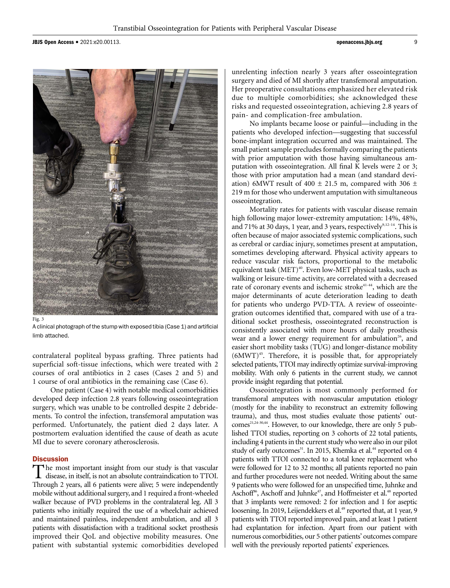JBJS Open Access  $\bullet$  2021:e20.00113.  $\bullet$  9



Fig. 3

A clinical photograph of the stump with exposed tibia (Case 1) and artificial limb attached.

contralateral popliteal bypass grafting. Three patients had superficial soft-tissue infections, which were treated with 2 courses of oral antibiotics in 2 cases (Cases 2 and 5) and 1 course of oral antibiotics in the remaining case (Case 6).

One patient (Case 4) with notable medical comorbidities developed deep infection 2.8 years following osseointegration surgery, which was unable to be controlled despite 2 debridements. To control the infection, transfemoral amputation was performed. Unfortunately, the patient died 2 days later. A postmortem evaluation identified the cause of death as acute MI due to severe coronary atherosclerosis.

#### **Discussion**

The most important insight from our study is that vascular<br>disease, in itself, is not an absolute contraindication to TTOI. Through 2 years, all 6 patients were alive; 5 were independently mobile without additional surgery, and 1 required a front-wheeled walker because of PVD problems in the contralateral leg. All 3 patients who initially required the use of a wheelchair achieved and maintained painless, independent ambulation, and all 3 patients with dissatisfaction with a traditional socket prosthesis improved their QoL and objective mobility measures. One patient with substantial systemic comorbidities developed

unrelenting infection nearly 3 years after osseointegration surgery and died of MI shortly after transfemoral amputation. Her preoperative consultations emphasized her elevated risk due to multiple comorbidities; she acknowledged these risks and requested osseointegration, achieving 2.8 years of pain- and complication-free ambulation.

No implants became loose or painful—including in the patients who developed infection—suggesting that successful bone-implant integration occurred and was maintained. The small patient sample precludes formally comparing the patients with prior amputation with those having simultaneous amputation with osseointegration. All final K levels were 2 or 3; those with prior amputation had a mean (and standard deviation) 6MWT result of 400  $\pm$  21.5 m, compared with 306  $\pm$ 219 m for those who underwent amputation with simultaneous osseointegration.

Mortality rates for patients with vascular disease remain high following major lower-extremity amputation: 14%, 48%, and 71% at 30 days, 1 year, and 3 years, respectively<sup>9,12-14</sup>. This is often because of major associated systemic complications, such as cerebral or cardiac injury, sometimes present at amputation, sometimes developing afterward. Physical activity appears to reduce vascular risk factors, proportional to the metabolic equivalent task  $(MET)^{40}$ . Even low-MET physical tasks, such as walking or leisure-time activity, are correlated with a decreased rate of coronary events and ischemic stroke<sup>41-44</sup>, which are the major determinants of acute deterioration leading to death for patients who undergo PVD-TTA. A review of osseointegration outcomes identified that, compared with use of a traditional socket prosthesis, osseointegrated reconstruction is consistently associated with more hours of daily prosthesis wear and a lower energy requirement for ambulation<sup>26</sup>, and easier short mobility tasks (TUG) and longer-distance mobility (6MWT)45. Therefore, it is possible that, for appropriately selected patients, TTOI may indirectly optimize survival-improving mobility. With only 6 patients in the current study, we cannot provide insight regarding that potential.

Osseointegration is most commonly performed for transfemoral amputees with nonvascular amputation etiology (mostly for the inability to reconstruct an extremity following trauma), and thus, most studies evaluate those patients' outcomes<sup>21,24-30,44</sup>. However, to our knowledge, there are only 5 published TTOI studies, reporting on 3 cohorts of 22 total patients, including 4 patients in the current study who were also in our pilot study of early outcomes<sup>31</sup>. In 2015, Khemka et al.<sup>44</sup> reported on 4 patients with TTOI connected to a total knee replacement who were followed for 12 to 32 months; all patients reported no pain and further procedures were not needed. Writing about the same 9 patients who were followed for an unspecified time, Juhnke and Aschoff<sup>46</sup>, Aschoff and Juhnke<sup>47</sup>, and Hoffmeister et al.<sup>48</sup> reported that 3 implants were removed: 2 for infection and 1 for aseptic loosening. In 2019, Leijendekkers et al.<sup>49</sup> reported that, at 1 year, 9 patients with TTOI reported improved pain, and at least 1 patient had explantation for infection. Apart from our patient with numerous comorbidities, our 5 other patients' outcomes compare well with the previously reported patients' experiences.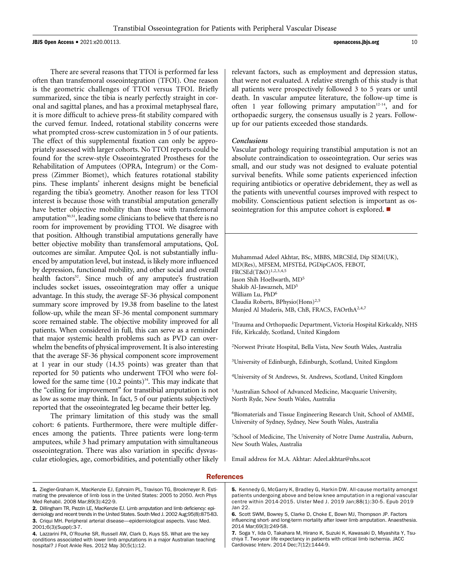$J$ BJS Open Access  $\bullet$  2021:e20.00113.  $\bullet$  10

There are several reasons that TTOI is performed far less often than transfemoral osseointegration (TFOI). One reason is the geometric challenges of TTOI versus TFOI. Briefly summarized, since the tibia is nearly perfectly straight in coronal and sagittal planes, and has a proximal metaphyseal flare, it is more difficult to achieve press-fit stability compared with the curved femur. Indeed, rotational stability concerns were what prompted cross-screw customization in 5 of our patients. The effect of this supplemental fixation can only be appropriately assessed with larger cohorts. No TTOI reports could be found for the screw-style Osseointegrated Prostheses for the Rehabilitation of Amputees (OPRA, Integrum) or the Compress (Zimmer Biomet), which features rotational stability pins. These implants' inherent designs might be beneficial regarding the tibia's geometry. Another reason for less TTOI interest is because those with transtibial amputation generally have better objective mobility than those with transfemoral amputation<sup>50,51</sup>, leading some clinicians to believe that there is no room for improvement by providing TTOI. We disagree with that position. Although transtibial amputations generally have better objective mobility than transfemoral amputations, QoL outcomes are similar. Amputee QoL is not substantially influenced by amputation level, but instead, is likely more influenced by depression, functional mobility, and other social and overall health factors<sup>52</sup>. Since much of any amputee's frustration includes socket issues, osseointegration may offer a unique advantage. In this study, the average SF-36 physical component summary score improved by 19.38 from baseline to the latest follow-up, while the mean SF-36 mental component summary score remained stable. The objective mobility improved for all patients. When considered in full, this can serve as a reminder that major systemic health problems such as PVD can overwhelm the benefits of physical improvement. It is also interesting that the average SF-36 physical component score improvement at 1 year in our study (14.35 points) was greater than that reported for 50 patients who underwent TFOI who were followed for the same time  $(10.2 \text{ points})^{34}$ . This may indicate that the "ceiling for improvement" for transtibial amputation is not as low as some may think. In fact, 5 of our patients subjectively reported that the osseointegrated leg became their better leg.

The primary limitation of this study was the small cohort: 6 patients. Furthermore, there were multiple differences among the patients. Three patients were long-term amputees, while 3 had primary amputation with simultaneous osseointegration. There was also variation in specific dysvascular etiologies, age, comorbidities, and potentially other likely relevant factors, such as employment and depression status, that were not evaluated. A relative strength of this study is that all patients were prospectively followed 3 to 5 years or until death. In vascular amputee literature, the follow-up time is often 1 year following primary amputation $12-14$ , and for orthopaedic surgery, the consensus usually is 2 years. Followup for our patients exceeded those standards.

#### Conclusions

Vascular pathology requiring transtibial amputation is not an absolute contraindication to osseointegration. Our series was small, and our study was not designed to evaluate potential survival benefits. While some patients experienced infection requiring antibiotics or operative debridement, they as well as the patients with uneventful courses improved with respect to mobility. Conscientious patient selection is important as osseointegration for this amputee cohort is explored.  $\blacksquare$ 

Muhammad Adeel Akhtar, BSc, MBBS, MRCSEd, Dip SEM(UK), MD(Res), MFSEM, MFSTEd, PGDipCAOS, FEBOT, FRCSEd(T&O)1,2,3,4,5 Jason Shih Hoellwarth, MD<sup>5</sup> Shakib Al-Jawazneh, MD5 William Lu, PhD<sup>6</sup> Claudia Roberts, BPhysio(Hons)2,5 Munjed Al Muderis, MB, ChB, FRACS, FAOrthA2,4,7

<sup>1</sup>Trauma and Orthopaedic Department, Victoria Hospital Kirkcaldy, NHS Fife, Kirkcaldy, Scotland, United Kingdom

2 Norwest Private Hospital, Bella Vista, New South Wales, Australia

<sup>3</sup>University of Edinburgh, Edinburgh, Scotland, United Kingdom

4 University of St Andrews, St. Andrews, Scotland, United Kingdom

5 Australian School of Advanced Medicine, Macquarie University, North Ryde, New South Wales, Australia

6 Biomaterials and Tissue Engineering Research Unit, School of AMME, University of Sydney, Sydney, New South Wales, Australia

7 School of Medicine, The University of Notre Dame Australia, Auburn, New South Wales, Australia

Email address for M.A. Akhtar: [Adeel.akhtar@nhs.scot](mailto:Adeel.akhtar@nhs.scot)

#### References

- 1. Ziegler-Graham K, MacKenzie EJ, Ephraim PL, Travison TG, Brookmeyer R. Estimating the prevalence of limb loss in the United States: 2005 to 2050. Arch Phys Med Rehabil. 2008 Mar;89(3):422-9.
- 2. Dillingham TR, Pezzin LE, MacKenzie EJ. Limb amputation and limb deficiency: epidemiology and recent trends in the United States. South Med J. 2002 Aug;95(8):875-83. 3. Criqui MH. Peripheral arterial disease—epidemiological aspects. Vasc Med. 2001;6(3)(Suppl):3-7.
- 4. Lazzarini PA, O'Rourke SR, Russell AW, Clark D, Kuys SS. What are the key conditions associated with lower limb amputations in a major Australian teaching hospital? J Foot Ankle Res. 2012 May 30;5(1):12.

5. Kennedy G, McGarry K, Bradley G, Harkin DW. All-cause mortality amongst patients undergoing above and below knee amputation in a regional vascular centre within 2014-2015. Ulster Med J. 2019 Jan;88(1):30-5. Epub 2019 Jan 22.

6. Scott SWM, Bowrey S, Clarke D, Choke E, Bown MJ, Thompson JP. Factors influencing short- and long-term mortality after lower limb amputation. Anaesthesia. 2014 Mar;69(3):249-58.

7. Soga Y, Iida O, Takahara M, Hirano K, Suzuki K, Kawasaki D, Miyashita Y, Tsuchiya T. Two-year life expectancy in patients with critical limb ischemia. JACC Cardiovasc Interv. 2014 Dec;7(12):1444-9.